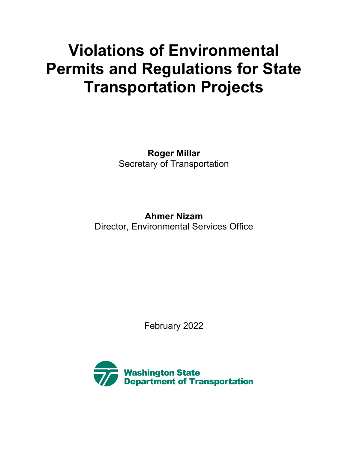# **Permits and Regulations for State Violations of Environmental Transportation Projects**

**Roger Millar** Secretary of Transportation

**Ahmer Nizam**  Director, Environmental Services Office

February 2022

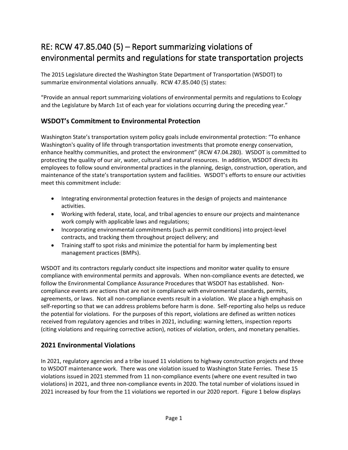## RE: RCW 47.85.040 (5) – Report summarizing violations of environmental permits and regulations for state transportation projects

 summarize environmental violations annually. RCW 47.85.040 (5) states: The 2015 Legislature directed the Washington State Department of Transportation (WSDOT) to

 "Provide an annual report summarizing violations of environmental permits and regulations to Ecology and the Legislature by March 1st of each year for violations occurring during the preceding year."

### **WSDOT's Commitment to Environmental Protection**

 enhance healthy communities, and protect the environment" (RCW 47.04.280). WSDOT is committed to protecting the quality of our air, water, cultural and natural resources. In addition, WSDOT directs its Washington State's transportation system policy goals include environmental protection: "To enhance Washington's quality of life through transportation investments that promote energy conservation, employees to follow sound environmental practices in the planning, design, construction, operation, and maintenance of the state's transportation system and facilities. WSDOT's efforts to ensure our activities meet this commitment include:

- Integrating environmental protection features in the design of projects and maintenance activities.
- Working with federal, state, local, and tribal agencies to ensure our projects and maintenance work comply with applicable laws and regulations;
- Incorporating environmental commitments (such as permit conditions) into project-level contracts, and tracking them throughout project delivery; and
- • Training staff to spot risks and minimize the potential for harm by implementing best management practices (BMPs).

 compliance with environmental permits and approvals. When non-compliance events are detected, we follow the Environmental Compliance Assurance Procedures that WSDOT has established. Non- agreements, or laws. Not all non-compliance events result in a violation. We place a high emphasis on the potential for violations. For the purposes of this report, violations are defined as written notices received from regulatory agencies and tribes in 2021, including: warning letters, inspection reports WSDOT and its contractors regularly conduct site inspections and monitor water quality to ensure compliance events are actions that are not in compliance with environmental standards, permits, self-reporting so that we can address problems before harm is done. Self-reporting also helps us reduce (citing violations and requiring corrective action), notices of violation, orders, and monetary penalties.

#### **2021 Environmental Violations**

 In 2021, regulatory agencies and a tribe issued 11 violations to highway construction projects and three to WSDOT maintenance work. There was one violation issued to Washington State Ferries. These 15 violations issued in 2021 stemmed from 11 non-compliance events (where one event resulted in two violations) in 2021, and three non-compliance events in 2020. The total number of violations issued in 2021 increased by four from the 11 violations we reported in our 2020 report. Figure 1 below displays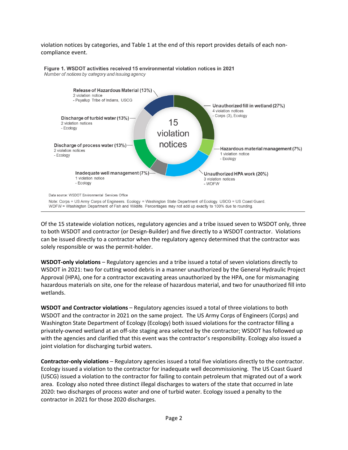#### violation notices by categories, and Table 1 at the end of this report provides details of each noncompliance event.



**1. WSDOT activities received 15 environmental violation notices in 2021**  Number of notices by category and issuing agency

 Of the 15 statewide violation notices, regulatory agencies and a tribe issued seven to WSDOT only, three to both WSDOT and contractor (or Design-Builder) and five directly to a WSDOT contractor. Violations can be issued directly to a contractor when the regulatory agency determined that the contractor was solely responsible or was the permit-holder.

 **WSDOT-only violations** – Regulatory agencies and a tribe issued a total of seven violations directly to WSDOT in 2021: two for cutting wood debris in a manner unauthorized by the General Hydraulic Project Approval (HPA), one for a contractor excavating areas unauthorized by the HPA, one for mismanaging hazardous materials on site, one for the release of hazardous material, and two for unauthorized fill into wetlands.

 **WSDOT and Contractor violations** – Regulatory agencies issued a total of three violations to both WSDOT and the contractor in 2021 on the same project. The US Army Corps of Engineers (Corps) and Washington State Department of Ecology (Ecology) both issued violations for the contractor filling a privately-owned wetland at an off-site staging area selected by the contractor; WSDOT has followed up with the agencies and clarified that this event was the contractor's responsibility. Ecology also issued a joint violation for discharging turbid waters.

 **Contractor-only violations** – Regulatory agencies issued a total five violations directly to the contractor. (USCG) issued a violation to the contractor for failing to contain petroleum that migrated out of a work area. Ecology also noted three distinct illegal discharges to waters of the state that occurred in late Ecology issued a violation to the contractor for inadequate well decommissioning. The US Coast Guard 2020: two discharges of process water and one of turbid water. Ecology issued a penalty to the contractor in 2021 for those 2020 discharges.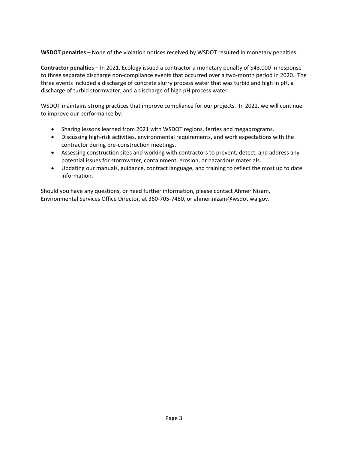**WSDOT penalties** – None of the violation notices received by WSDOT resulted in monetary penalties.

 **Contractor penalties** – In 2021, Ecology issued a contractor a monetary penalty of \$43,000 in response discharge of turbid stormwater, and a discharge of high pH process water. to three separate discharge non-compliance events that occurred over a two-month period in 2020. The three events included a discharge of concrete slurry process water that was turbid and high in pH, a

WSDOT maintains strong practices that improve compliance for our projects. In 2022, we will continue to improve our performance by:

- Sharing lessons learned from 2021 with WSDOT regions, ferries and megaprograms.
- Discussing high-risk activities, environmental requirements, and work expectations with the contractor during pre-construction meetings.
- • Assessing construction sites and working with contractors to prevent, detect, and address any potential issues for stormwater, containment, erosion, or hazardous materials.
- Updating our manuals, guidance, contract language, and training to reflect the most up to date information.

Should you have any questions, or need further information, please contact Ahmer Nizam, Environmental Services Office Director, at 360-705-7480, or [ahmer.nizam@wsdot.wa.gov](mailto:ahmer.nizam@wsdot.wa.gov).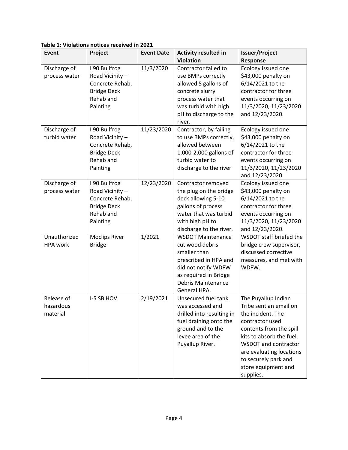| Event                               | Project                                                                                           | <b>Event Date</b> | <b>Activity resulted in</b>                                                                                                                                                       | <b>Issuer/Project</b>                                                                                                                                                                                                                                        |
|-------------------------------------|---------------------------------------------------------------------------------------------------|-------------------|-----------------------------------------------------------------------------------------------------------------------------------------------------------------------------------|--------------------------------------------------------------------------------------------------------------------------------------------------------------------------------------------------------------------------------------------------------------|
|                                     |                                                                                                   |                   | <b>Violation</b>                                                                                                                                                                  | Response                                                                                                                                                                                                                                                     |
| Discharge of<br>process water       | I 90 Bullfrog<br>Road Vicinity-<br>Concrete Rehab,<br><b>Bridge Deck</b><br>Rehab and<br>Painting | 11/3/2020         | Contractor failed to<br>use BMPs correctly<br>allowed 5 gallons of<br>concrete slurry<br>process water that<br>was turbid with high<br>pH to discharge to the<br>river.           | Ecology issued one<br>\$43,000 penalty on<br>6/14/2021 to the<br>contractor for three<br>events occurring on<br>11/3/2020, 11/23/2020<br>and 12/23/2020.                                                                                                     |
| Discharge of<br>turbid water        | I 90 Bullfrog<br>Road Vicinity-<br>Concrete Rehab,<br><b>Bridge Deck</b><br>Rehab and<br>Painting | 11/23/2020        | Contractor, by failing<br>to use BMPs correctly,<br>allowed between<br>1,000-2,000 gallons of<br>turbid water to<br>discharge to the river                                        | Ecology issued one<br>\$43,000 penalty on<br>6/14/2021 to the<br>contractor for three<br>events occurring on<br>11/3/2020, 11/23/2020<br>and 12/23/2020.                                                                                                     |
| Discharge of<br>process water       | I 90 Bullfrog<br>Road Vicinity-<br>Concrete Rehab,<br><b>Bridge Deck</b><br>Rehab and<br>Painting | 12/23/2020        | Contractor removed<br>the plug on the bridge<br>deck allowing 5-10<br>gallons of process<br>water that was turbid<br>with high pH to<br>discharge to the river.                   | Ecology issued one<br>\$43,000 penalty on<br>6/14/2021 to the<br>contractor for three<br>events occurring on<br>11/3/2020, 11/23/2020<br>and 12/23/2020.                                                                                                     |
| Unauthorized<br><b>HPA</b> work     | <b>Moclips River</b><br><b>Bridge</b>                                                             | 1/2021            | <b>WSDOT Maintenance</b><br>cut wood debris<br>smaller than<br>prescribed in HPA and<br>did not notify WDFW<br>as required in Bridge<br><b>Debris Maintenance</b><br>General HPA. | WSDOT staff briefed the<br>bridge crew supervisor,<br>discussed corrective<br>measures, and met with<br>WDFW.                                                                                                                                                |
| Release of<br>hazardous<br>material | I-5 SB HOV                                                                                        | 2/19/2021         | Unsecured fuel tank<br>was accessed and<br>drilled into resulting in<br>fuel draining onto the<br>ground and to the<br>levee area of the<br>Puyallup River.                       | The Puyallup Indian<br>Tribe sent an email on<br>the incident. The<br>contractor used<br>contents from the spill<br>kits to absorb the fuel.<br>WSDOT and contractor<br>are evaluating locations<br>to securely park and<br>store equipment and<br>supplies. |

**Table 1: Violations notices received in 2021**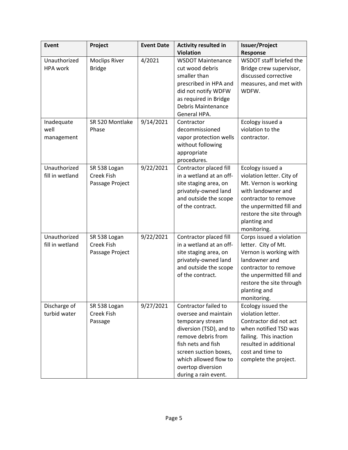| Event                           | Project                                              | <b>Event Date</b> | <b>Activity resulted in</b>                                                                                                                                                                                                            | <b>Issuer/Project</b>                                                                                                                                                                                       |
|---------------------------------|------------------------------------------------------|-------------------|----------------------------------------------------------------------------------------------------------------------------------------------------------------------------------------------------------------------------------------|-------------------------------------------------------------------------------------------------------------------------------------------------------------------------------------------------------------|
|                                 |                                                      |                   | <b>Violation</b>                                                                                                                                                                                                                       | Response                                                                                                                                                                                                    |
| Unauthorized<br><b>HPA</b> work | <b>Moclips River</b><br><b>Bridge</b>                | 4/2021            | <b>WSDOT Maintenance</b><br>cut wood debris<br>smaller than<br>prescribed in HPA and<br>did not notify WDFW<br>as required in Bridge<br>Debris Maintenance<br>General HPA.                                                             | WSDOT staff briefed the<br>Bridge crew supervisor,<br>discussed corrective<br>measures, and met with<br>WDFW.                                                                                               |
| Inadequate                      | SR 520 Montlake                                      | 9/14/2021         | Contractor                                                                                                                                                                                                                             | Ecology issued a                                                                                                                                                                                            |
| well<br>management              | Phase                                                |                   | decommissioned<br>vapor protection wells<br>without following<br>appropriate<br>procedures.                                                                                                                                            | violation to the<br>contractor.                                                                                                                                                                             |
| Unauthorized<br>fill in wetland | SR 538 Logan<br><b>Creek Fish</b><br>Passage Project | 9/22/2021         | Contractor placed fill<br>in a wetland at an off-<br>site staging area, on<br>privately-owned land<br>and outside the scope<br>of the contract.                                                                                        | Ecology issued a<br>violation letter. City of<br>Mt. Vernon is working<br>with landowner and<br>contractor to remove<br>the unpermitted fill and<br>restore the site through<br>planting and<br>monitoring. |
| Unauthorized<br>fill in wetland | SR 538 Logan<br><b>Creek Fish</b><br>Passage Project | 9/22/2021         | Contractor placed fill<br>in a wetland at an off-<br>site staging area, on<br>privately-owned land<br>and outside the scope<br>of the contract.                                                                                        | Corps issued a violation<br>letter. City of Mt.<br>Vernon is working with<br>landowner and<br>contractor to remove<br>the unpermitted fill and<br>restore the site through<br>planting and<br>monitoring.   |
| Discharge of<br>turbid water    | SR 538 Logan<br><b>Creek Fish</b><br>Passage         | 9/27/2021         | Contractor failed to<br>oversee and maintain<br>temporary stream<br>diversion (TSD), and to<br>remove debris from<br>fish nets and fish<br>screen suction boxes,<br>which allowed flow to<br>overtop diversion<br>during a rain event. | Ecology issued the<br>violation letter.<br>Contractor did not act<br>when notified TSD was<br>failing. This inaction<br>resulted in additional<br>cost and time to<br>complete the project.                 |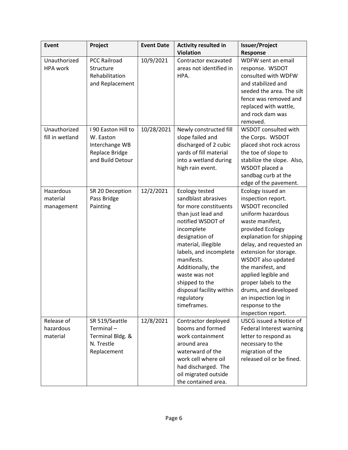| Event                               | Project                                                                                  | <b>Event Date</b> | <b>Activity resulted in</b>                                                                                                                                                                                                                                                                                               | <b>Issuer/Project</b>                                                                                                                                                                                                                                                                                                                                                                       |
|-------------------------------------|------------------------------------------------------------------------------------------|-------------------|---------------------------------------------------------------------------------------------------------------------------------------------------------------------------------------------------------------------------------------------------------------------------------------------------------------------------|---------------------------------------------------------------------------------------------------------------------------------------------------------------------------------------------------------------------------------------------------------------------------------------------------------------------------------------------------------------------------------------------|
|                                     |                                                                                          |                   | <b>Violation</b>                                                                                                                                                                                                                                                                                                          | Response                                                                                                                                                                                                                                                                                                                                                                                    |
| Unauthorized<br><b>HPA</b> work     | <b>PCC Railroad</b><br>Structure<br>Rehabilitation<br>and Replacement                    | 10/9/2021         | Contractor excavated<br>areas not identified in<br>HPA.                                                                                                                                                                                                                                                                   | WDFW sent an email<br>response. WSDOT<br>consulted with WDFW<br>and stabilized and<br>seeded the area. The silt<br>fence was removed and<br>replaced with wattle,<br>and rock dam was<br>removed.                                                                                                                                                                                           |
| Unauthorized<br>fill in wetland     | I 90 Easton Hill to<br>W. Easton<br>Interchange WB<br>Replace Bridge<br>and Build Detour | 10/28/2021        | Newly constructed fill<br>slope failed and<br>discharged of 2 cubic<br>yards of fill material<br>into a wetland during<br>high rain event.                                                                                                                                                                                | WSDOT consulted with<br>the Corps. WSDOT<br>placed shot rock across<br>the toe of slope to<br>stabilize the slope. Also,<br>WSDOT placed a<br>sandbag curb at the<br>edge of the pavement.                                                                                                                                                                                                  |
| Hazardous<br>material<br>management | SR 20 Deception<br>Pass Bridge<br>Painting                                               | 12/2/2021         | Ecology tested<br>sandblast abrasives<br>for more constituents<br>than just lead and<br>notified WSDOT of<br>incomplete<br>designation of<br>material, illegible<br>labels, and incomplete<br>manifests.<br>Additionally, the<br>waste was not<br>shipped to the<br>disposal facility within<br>regulatory<br>timeframes. | Ecology issued an<br>inspection report.<br>WSDOT reconciled<br>uniform hazardous<br>waste manifest,<br>provided Ecology<br>explanation for shipping<br>delay, and requested an<br>extension for storage.<br>WSDOT also updated<br>the manifest, and<br>applied legible and<br>proper labels to the<br>drums, and developed<br>an inspection log in<br>response to the<br>inspection report. |
| Release of<br>hazardous<br>material | SR 519/Seattle<br>Terminal $-$<br>Terminal Bldg. &<br>N. Trestle<br>Replacement          | 12/8/2021         | Contractor deployed<br>booms and formed<br>work containment<br>around area<br>waterward of the<br>work cell where oil<br>had discharged. The<br>oil migrated outside<br>the contained area.                                                                                                                               | <b>USCG issued a Notice of</b><br>Federal Interest warning<br>letter to respond as<br>necessary to the<br>migration of the<br>released oil or be fined.                                                                                                                                                                                                                                     |